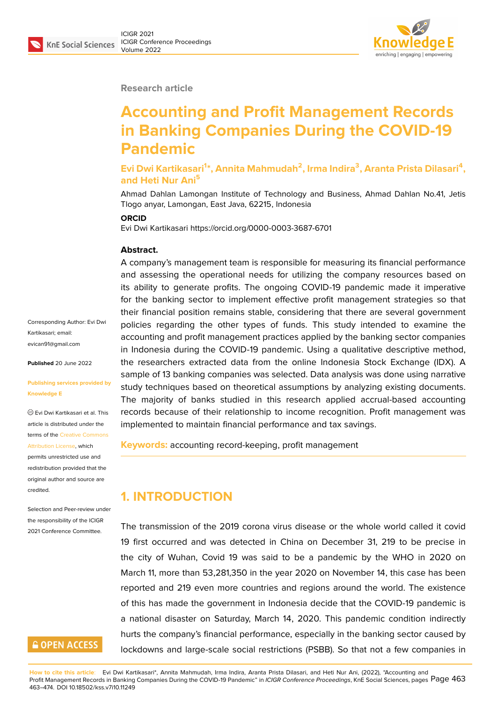#### **Research article**

# **Accounting and Profit Management Records in Banking Companies During the COVID-19 Pandemic**

**Evi Dwi Kartikasari<sup>1</sup> \*, Annita Mahmudah<sup>2</sup> , Irma Indira<sup>3</sup> , Aranta Prista Dilasari<sup>4</sup> , and Heti Nur Ani<sup>5</sup>**

Ahmad Dahlan Lamongan Institute of Technology and Business, Ahmad Dahlan No.41, Jetis Tlogo anyar, Lamongan, East Java, 62215, Indonesia

#### **ORCID**

Evi Dwi Kartikasari https://orcid.org/0000-0003-3687-6701

#### **Abstract.**

A company's management team is responsible for measuring its financial performance and assessing the operational needs for utilizing the company resources based on its ability to generate profits. The ongoing COVID-19 pandemic made it imperative for the banking sector to implement effective profit management strategies so that their financial position remains stable, considering that there are several government policies regarding the other types of funds. This study intended to examine the accounting and profit management practices applied by the banking sector companies in Indonesia during the COVID-19 pandemic. Using a qualitative descriptive method, the researchers extracted data from the online Indonesia Stock Exchange (IDX). A sample of 13 banking companies was selected. Data analysis was done using narrative study techniques based on theoretical assumptions by analyzing existing documents. The majority of banks studied in this research applied accrual-based accounting records because of their relationship to income recognition. Profit management was implemented to maintain financial performance and tax savings.

**Keywords:** accounting record-keeping, profit management

## **1. INTRODUCTION**

The transmission of the 2019 corona virus disease or the whole world called it covid 19 first occurred and was detected in China on December 31, 219 to be precise in the city of Wuhan, Covid 19 was said to be a pandemic by the WHO in 2020 on March 11, more than 53,281,350 in the year 2020 on November 14, this case has been reported and 219 even more countries and regions around the world. The existence of this has made the government in Indonesia decide that the COVID-19 pandemic is a national disaster on Saturday, March 14, 2020. This pandemic condition indirectly hurts the company's financial performance, especially in the banking sector caused by lockdowns and large-scale social restrictions (PSBB). So that not a few companies in

Corresponding Author: Evi Dwi Kartikasari; email: evican91@gmail.com

**Published** 20 June 2022

#### **[Publishing services p](mailto:evican91@gmail.com)rovided by Knowledge E**

Evi Dwi Kartikasari et al. This article is distributed under the terms of the Creative Commons Attribution License, which

permits unrestricted use and redistribution provided that the original auth[or and source are](https://creativecommons.org/licenses/by/4.0/) [credited.](https://creativecommons.org/licenses/by/4.0/)

Selection and Peer-review under the responsibility of the ICIGR 2021 Conference Committee.

## **GOPEN ACCESS**

**How to cite this article**: Evi Dwi Kartikasari\*, Annita Mahmudah, Irma Indira, Aranta Prista Dilasari, and Heti Nur Ani, (2022), "Accounting and Profit Management Records in Banking Companies During the COVID-19 Pandemic" in *ICIGR Conference Proceedings*, KnE Social Sciences, pages Page 463 463–474. DOI 10.18502/kss.v7i10.11249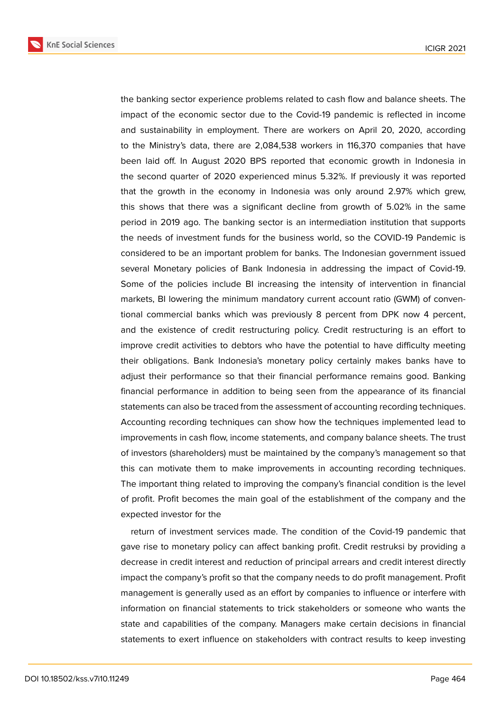**KnE Social Sciences** 

the banking sector experience problems related to cash flow and balance sheets. The impact of the economic sector due to the Covid-19 pandemic is reflected in income and sustainability in employment. There are workers on April 20, 2020, according to the Ministry's data, there are 2,084,538 workers in 116,370 companies that have been laid off. In August 2020 BPS reported that economic growth in Indonesia in the second quarter of 2020 experienced minus 5.32%. If previously it was reported that the growth in the economy in Indonesia was only around 2.97% which grew, this shows that there was a significant decline from growth of 5.02% in the same period in 2019 ago. The banking sector is an intermediation institution that supports the needs of investment funds for the business world, so the COVID-19 Pandemic is considered to be an important problem for banks. The Indonesian government issued several Monetary policies of Bank Indonesia in addressing the impact of Covid-19. Some of the policies include BI increasing the intensity of intervention in financial markets, BI lowering the minimum mandatory current account ratio (GWM) of conventional commercial banks which was previously 8 percent from DPK now 4 percent, and the existence of credit restructuring policy. Credit restructuring is an effort to improve credit activities to debtors who have the potential to have difficulty meeting their obligations. Bank Indonesia's monetary policy certainly makes banks have to adjust their performance so that their financial performance remains good. Banking financial performance in addition to being seen from the appearance of its financial statements can also be traced from the assessment of accounting recording techniques. Accounting recording techniques can show how the techniques implemented lead to improvements in cash flow, income statements, and company balance sheets. The trust of investors (shareholders) must be maintained by the company's management so that this can motivate them to make improvements in accounting recording techniques. The important thing related to improving the company's financial condition is the level of profit. Profit becomes the main goal of the establishment of the company and the expected investor for the

return of investment services made. The condition of the Covid-19 pandemic that gave rise to monetary policy can affect banking profit. Credit restruksi by providing a decrease in credit interest and reduction of principal arrears and credit interest directly impact the company's profit so that the company needs to do profit management. Profit management is generally used as an effort by companies to influence or interfere with information on financial statements to trick stakeholders or someone who wants the state and capabilities of the company. Managers make certain decisions in financial statements to exert influence on stakeholders with contract results to keep investing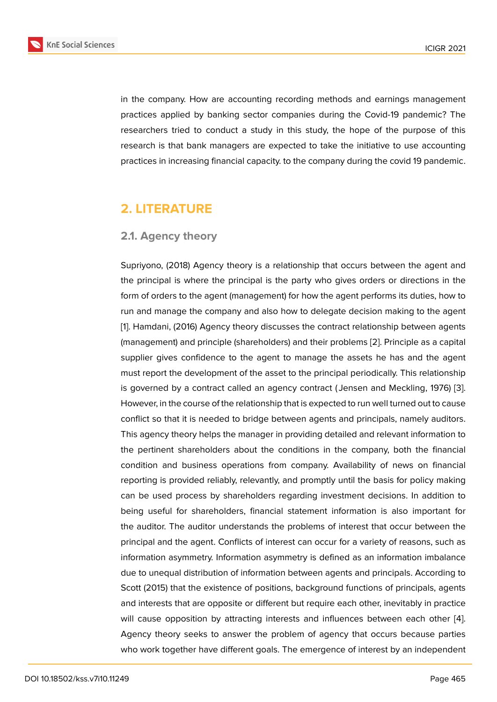in the company. How are accounting recording methods and earnings management practices applied by banking sector companies during the Covid-19 pandemic? The researchers tried to conduct a study in this study, the hope of the purpose of this research is that bank managers are expected to take the initiative to use accounting practices in increasing financial capacity. to the company during the covid 19 pandemic.

## **2. LITERATURE**

### **2.1. Agency theory**

Supriyono, (2018) Agency theory is a relationship that occurs between the agent and the principal is where the principal is the party who gives orders or directions in the form of orders to the agent (management) for how the agent performs its duties, how to run and manage the company and also how to delegate decision making to the agent [1]. Hamdani, (2016) Agency theory discusses the contract relationship between agents (management) and principle (shareholders) and their problems [2]. Principle as a capital supplier gives confidence to the agent to manage the assets he has and the agent [m](#page-10-0)ust report the development of the asset to the principal periodically. This relationship is governed by a contract called an agency contract ( Jensen [an](#page-10-1)d Meckling, 1976) [3]. However, in the course of the relationship that is expected to run well turned out to cause conflict so that it is needed to bridge between agents and principals, namely auditors. This agency theory helps the manager in providing detailed and relevant information [to](#page-10-2) the pertinent shareholders about the conditions in the company, both the financial condition and business operations from company. Availability of news on financial reporting is provided reliably, relevantly, and promptly until the basis for policy making can be used process by shareholders regarding investment decisions. In addition to being useful for shareholders, financial statement information is also important for the auditor. The auditor understands the problems of interest that occur between the principal and the agent. Conflicts of interest can occur for a variety of reasons, such as information asymmetry. Information asymmetry is defined as an information imbalance due to unequal distribution of information between agents and principals. According to Scott (2015) that the existence of positions, background functions of principals, agents and interests that are opposite or different but require each other, inevitably in practice will cause opposition by attracting interests and influences between each other [4]. Agency theory seeks to answer the problem of agency that occurs because parties who work together have different goals. The emergence of interest by an independent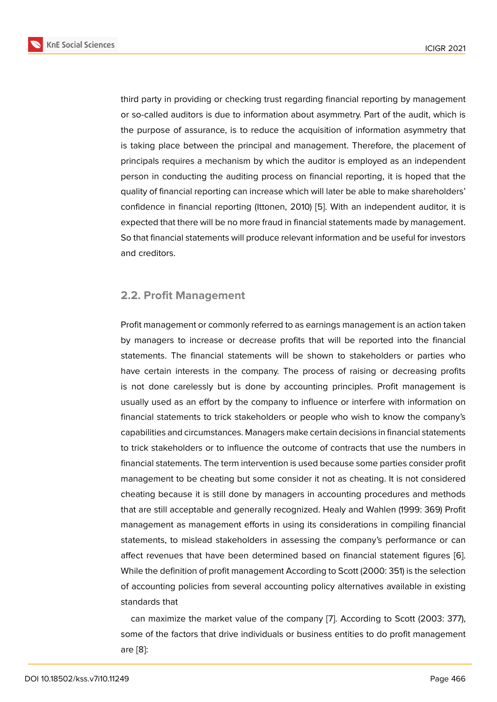third party in providing or checking trust regarding financial reporting by management or so-called auditors is due to information about asymmetry. Part of the audit, which is the purpose of assurance, is to reduce the acquisition of information asymmetry that is taking place between the principal and management. Therefore, the placement of principals requires a mechanism by which the auditor is employed as an independent person in conducting the auditing process on financial reporting, it is hoped that the quality of financial reporting can increase which will later be able to make shareholders' confidence in financial reporting (Ittonen, 2010) [5]. With an independent auditor, it is expected that there will be no more fraud in financial statements made by management. So that financial statements will produce relevant information and be useful for investors and creditors.

#### **2.2. Profit Management**

Profit management or commonly referred to as earnings management is an action taken by managers to increase or decrease profits that will be reported into the financial statements. The financial statements will be shown to stakeholders or parties who have certain interests in the company. The process of raising or decreasing profits is not done carelessly but is done by accounting principles. Profit management is usually used as an effort by the company to influence or interfere with information on financial statements to trick stakeholders or people who wish to know the company's capabilities and circumstances. Managers make certain decisions in financial statements to trick stakeholders or to influence the outcome of contracts that use the numbers in financial statements. The term intervention is used because some parties consider profit management to be cheating but some consider it not as cheating. It is not considered cheating because it is still done by managers in accounting procedures and methods that are still acceptable and generally recognized. Healy and Wahlen (1999: 369) Profit management as management efforts in using its considerations in compiling financial statements, to mislead stakeholders in assessing the company's performance or can affect revenues that have been determined based on financial statement figures [6]. While the definition of profit management According to Scott (2000: 351) is the selection of accounting policies from several accounting policy alternatives available in existing standards that

can maximize the market value of the company [7]. According to Scott (2003: 377), some of the factors that drive individuals or business entities to do profit management are [8]: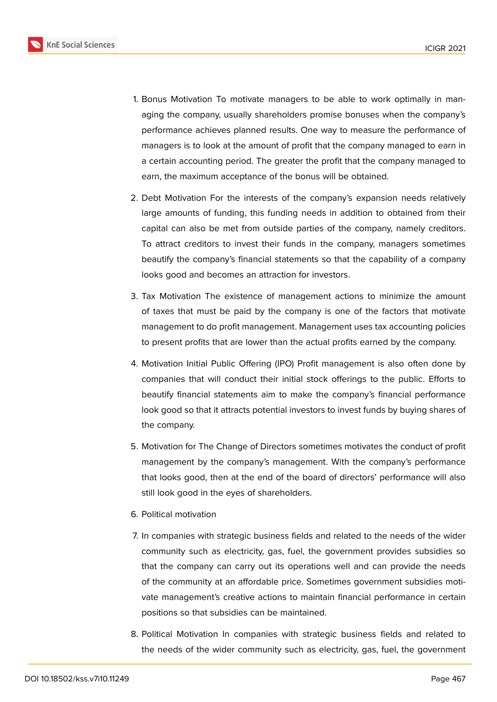

- 1. Bonus Motivation To motivate managers to be able to work optimally in managing the company, usually shareholders promise bonuses when the company's performance achieves planned results. One way to measure the performance of managers is to look at the amount of profit that the company managed to earn in a certain accounting period. The greater the profit that the company managed to earn, the maximum acceptance of the bonus will be obtained.
- 2. Debt Motivation For the interests of the company's expansion needs relatively large amounts of funding, this funding needs in addition to obtained from their capital can also be met from outside parties of the company, namely creditors. To attract creditors to invest their funds in the company, managers sometimes beautify the company's financial statements so that the capability of a company looks good and becomes an attraction for investors.
- 3. Tax Motivation The existence of management actions to minimize the amount of taxes that must be paid by the company is one of the factors that motivate management to do profit management. Management uses tax accounting policies to present profits that are lower than the actual profits earned by the company.
- 4. Motivation Initial Public Offering (IPO) Profit management is also often done by companies that will conduct their initial stock offerings to the public. Efforts to beautify financial statements aim to make the company's financial performance look good so that it attracts potential investors to invest funds by buying shares of the company.
- 5. Motivation for The Change of Directors sometimes motivates the conduct of profit management by the company's management. With the company's performance that looks good, then at the end of the board of directors' performance will also still look good in the eyes of shareholders.
- 6. Political motivation
- 7. In companies with strategic business fields and related to the needs of the wider community such as electricity, gas, fuel, the government provides subsidies so that the company can carry out its operations well and can provide the needs of the community at an affordable price. Sometimes government subsidies motivate management's creative actions to maintain financial performance in certain positions so that subsidies can be maintained.
- 8. Political Motivation In companies with strategic business fields and related to the needs of the wider community such as electricity, gas, fuel, the government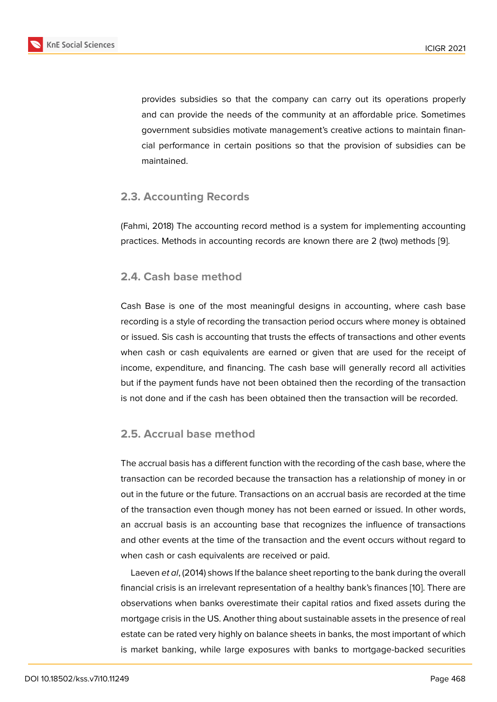provides subsidies so that the company can carry out its operations properly and can provide the needs of the community at an affordable price. Sometimes government subsidies motivate management's creative actions to maintain financial performance in certain positions so that the provision of subsidies can be maintained.

#### **2.3. Accounting Records**

(Fahmi, 2018) The accounting record method is a system for implementing accounting practices. Methods in accounting records are known there are 2 (two) methods [9].

#### **2.4. Cash base method**

Cash Base is one of the most meaningful designs in accounting, where cash base recording is a style of recording the transaction period occurs where money is obtained or issued. Sis cash is accounting that trusts the effects of transactions and other events when cash or cash equivalents are earned or given that are used for the receipt of income, expenditure, and financing. The cash base will generally record all activities but if the payment funds have not been obtained then the recording of the transaction is not done and if the cash has been obtained then the transaction will be recorded.

### **2.5. Accrual base method**

The accrual basis has a different function with the recording of the cash base, where the transaction can be recorded because the transaction has a relationship of money in or out in the future or the future. Transactions on an accrual basis are recorded at the time of the transaction even though money has not been earned or issued. In other words, an accrual basis is an accounting base that recognizes the influence of transactions and other events at the time of the transaction and the event occurs without regard to when cash or cash equivalents are received or paid.

Laeven *et al*, (2014) shows If the balance sheet reporting to the bank during the overall financial crisis is an irrelevant representation of a healthy bank's finances [10]. There are observations when banks overestimate their capital ratios and fixed assets during the mortgage crisis in the US. Another thing about sustainable assets in the presence of real estate can be rated very highly on balance sheets in banks, the most imp[orta](#page-10-3)nt of which is market banking, while large exposures with banks to mortgage-backed securities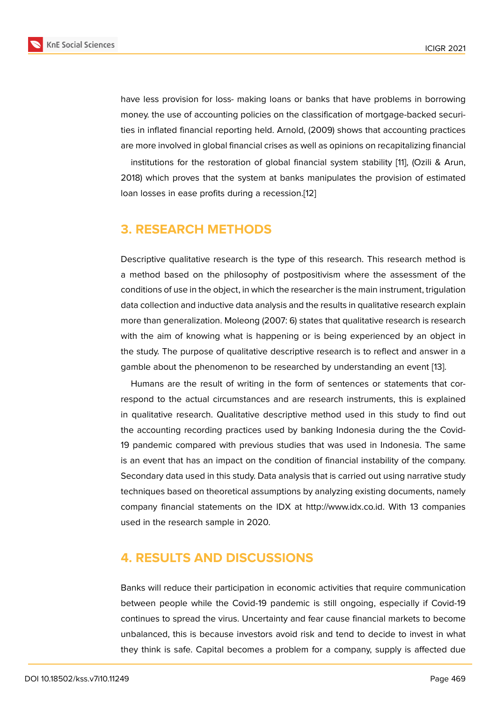have less provision for loss- making loans or banks that have problems in borrowing money. the use of accounting policies on the classification of mortgage-backed securities in inflated financial reporting held. Arnold, (2009) shows that accounting practices are more involved in global financial crises as well as opinions on recapitalizing financial

institutions for the restoration of global financial system stability [11], (Ozili & Arun, 2018) which proves that the system at banks manipulates the provision of estimated loan losses in ease profits during a recession.[12]

## **3. RESEARCH METHODS**

Descriptive qualitative research is the type of this research. This research method is a method based on the philosophy of postpositivism where the assessment of the conditions of use in the object, in which the researcher is the main instrument, trigulation data collection and inductive data analysis and the results in qualitative research explain more than generalization. Moleong (2007: 6) states that qualitative research is research with the aim of knowing what is happening or is being experienced by an object in the study. The purpose of qualitative descriptive research is to reflect and answer in a gamble about the phenomenon to be researched by understanding an event [13].

Humans are the result of writing in the form of sentences or statements that correspond to the actual circumstances and are research instruments, this is explained in qualitative research. Qualitative descriptive method used in this study to [fin](#page-11-0)d out the accounting recording practices used by banking Indonesia during the the Covid-19 pandemic compared with previous studies that was used in Indonesia. The same is an event that has an impact on the condition of financial instability of the company. Secondary data used in this study. Data analysis that is carried out using narrative study techniques based on theoretical assumptions by analyzing existing documents, namely company financial statements on the IDX at http://www.idx.co.id. With 13 companies used in the research sample in 2020.

## **4. RESULTS AND DISCUSSIONS**

Banks will reduce their participation in economic activities that require communication between people while the Covid-19 pandemic is still ongoing, especially if Covid-19 continues to spread the virus. Uncertainty and fear cause financial markets to become unbalanced, this is because investors avoid risk and tend to decide to invest in what they think is safe. Capital becomes a problem for a company, supply is affected due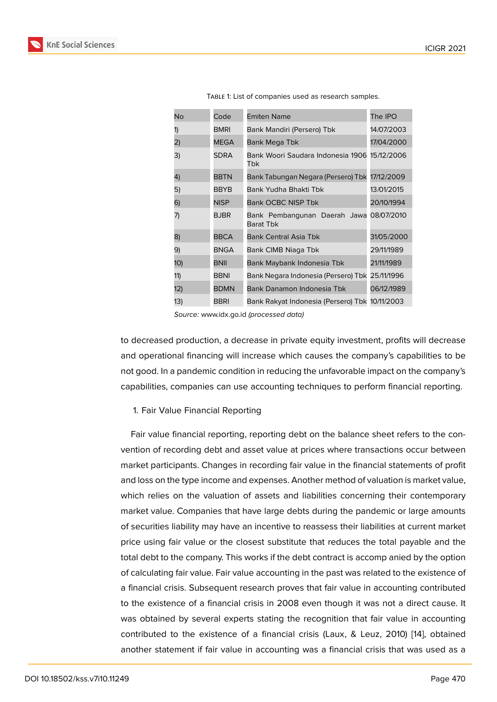| No  | Code        | <b>Emiten Name</b>                                   | The IPO    |
|-----|-------------|------------------------------------------------------|------------|
| 1)  | BMRI        | Bank Mandiri (Persero) Tbk                           | 14/07/2003 |
| 2)  | <b>MEGA</b> | Bank Mega Tbk                                        | 17/04/2000 |
| 3)  | SDRA        | Bank Woori Saudara Indonesia 1906<br>Tbk             | 15/12/2006 |
| 4)  | <b>BBTN</b> | Bank Tabungan Negara (Persero) Tbk                   | 17/12/2009 |
| 5)  | BBYB        | Bank Yudha Bhakti Tbk                                | 13/01/2015 |
| 6)  | <b>NISP</b> | <b>Bank OCBC NISP Tbk</b>                            | 20/10/1994 |
| 7)  | <b>BJBR</b> | Bank Pembangunan Daerah Jawa 08/07/2010<br>Barat Tbk |            |
| 8)  | <b>BBCA</b> | <b>Bank Central Asia Tbk</b>                         | 31/05/2000 |
| 9)  | <b>BNGA</b> | Bank CIMB Niaga Tbk                                  | 29/11/1989 |
| 1O) | BNII        | Bank Maybank Indonesia Tbk                           | 21/11/1989 |
| 11) | BBNI        | Bank Negara Indonesia (Persero) Tbk                  | 25/11/1996 |
| 12) | <b>BDMN</b> | Bank Danamon Indonesia Tbk                           | 06/12/1989 |
| 13) | BBRI        | Bank Rakyat Indonesia (Persero) Tbk 10/11/2003       |            |

Table 1: List of companies used as research samples.

*Source:* www.idx.go.id *(processed data)*

to decreased production, a decrease in private equity investment, profits will decrease and operational financing will increase which causes the company's capabilities to be not good. In a pandemic condition in reducing the unfavorable impact on the company's capabilities, companies can use accounting techniques to perform financial reporting.

#### 1. Fair Value Financial Reporting

Fair value financial reporting, reporting debt on the balance sheet refers to the convention of recording debt and asset value at prices where transactions occur between market participants. Changes in recording fair value in the financial statements of profit and loss on the type income and expenses. Another method of valuation is market value, which relies on the valuation of assets and liabilities concerning their contemporary market value. Companies that have large debts during the pandemic or large amounts of securities liability may have an incentive to reassess their liabilities at current market price using fair value or the closest substitute that reduces the total payable and the total debt to the company. This works if the debt contract is accomp anied by the option of calculating fair value. Fair value accounting in the past was related to the existence of a financial crisis. Subsequent research proves that fair value in accounting contributed to the existence of a financial crisis in 2008 even though it was not a direct cause. It was obtained by several experts stating the recognition that fair value in accounting contributed to the existence of a financial crisis (Laux, & Leuz, 2010) [14], obtained another statement if fair value in accounting was a financial crisis that was used as a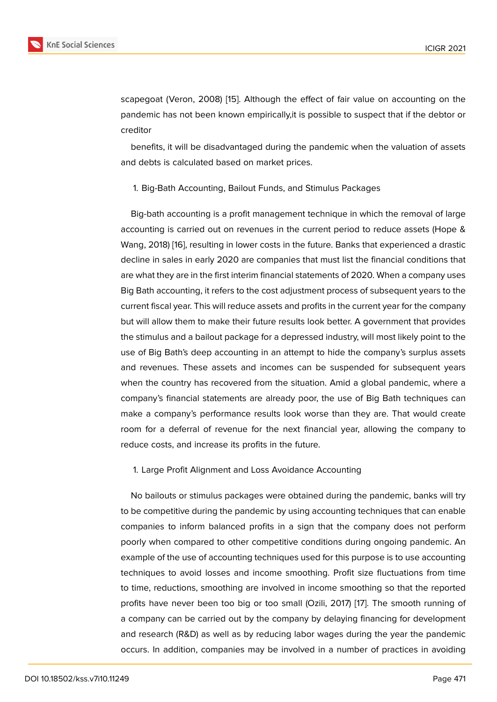scapegoat (Veron, 2008) [15]. Although the effect of fair value on accounting on the pandemic has not been known empirically,it is possible to suspect that if the debtor or creditor

benefits, it will be disad[van](#page-11-1)taged during the pandemic when the valuation of assets and debts is calculated based on market prices.

1. Big-Bath Accounting, Bailout Funds, and Stimulus Packages

Big-bath accounting is a profit management technique in which the removal of large accounting is carried out on revenues in the current period to reduce assets (Hope & Wang, 2018) [16], resulting in lower costs in the future. Banks that experienced a drastic decline in sales in early 2020 are companies that must list the financial conditions that are what they are in the first interim financial statements of 2020. When a company uses Big Bath acc[oun](#page-11-2)ting, it refers to the cost adjustment process of subsequent years to the current fiscal year. This will reduce assets and profits in the current year for the company but will allow them to make their future results look better. A government that provides the stimulus and a bailout package for a depressed industry, will most likely point to the use of Big Bath's deep accounting in an attempt to hide the company's surplus assets and revenues. These assets and incomes can be suspended for subsequent years when the country has recovered from the situation. Amid a global pandemic, where a company's financial statements are already poor, the use of Big Bath techniques can make a company's performance results look worse than they are. That would create room for a deferral of revenue for the next financial year, allowing the company to reduce costs, and increase its profits in the future.

1. Large Profit Alignment and Loss Avoidance Accounting

No bailouts or stimulus packages were obtained during the pandemic, banks will try to be competitive during the pandemic by using accounting techniques that can enable companies to inform balanced profits in a sign that the company does not perform poorly when compared to other competitive conditions during ongoing pandemic. An example of the use of accounting techniques used for this purpose is to use accounting techniques to avoid losses and income smoothing. Profit size fluctuations from time to time, reductions, smoothing are involved in income smoothing so that the reported profits have never been too big or too small (Ozili, 2017) [17]. The smooth running of a company can be carried out by the company by delaying financing for development and research (R&D) as well as by reducing labor wages during the year the pandemic occurs. In addition, companies may be involved in a num[be](#page-11-3)r of practices in avoiding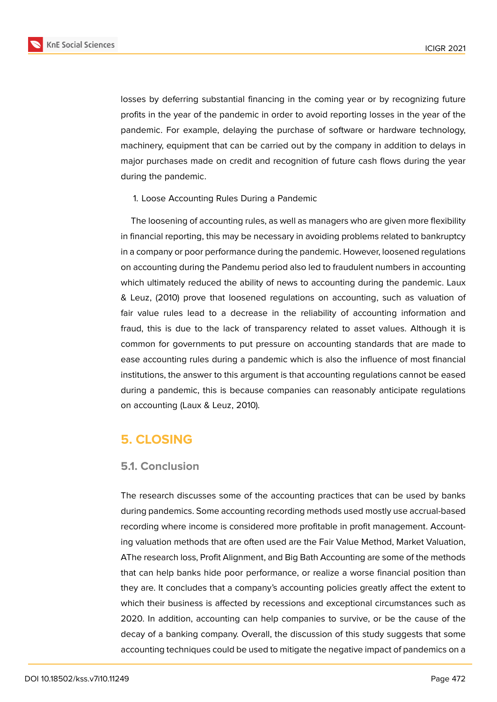

losses by deferring substantial financing in the coming year or by recognizing future profits in the year of the pandemic in order to avoid reporting losses in the year of the pandemic. For example, delaying the purchase of software or hardware technology, machinery, equipment that can be carried out by the company in addition to delays in major purchases made on credit and recognition of future cash flows during the year during the pandemic.

1. Loose Accounting Rules During a Pandemic

The loosening of accounting rules, as well as managers who are given more flexibility in financial reporting, this may be necessary in avoiding problems related to bankruptcy in a company or poor performance during the pandemic. However, loosened regulations on accounting during the Pandemu period also led to fraudulent numbers in accounting which ultimately reduced the ability of news to accounting during the pandemic. Laux & Leuz, (2010) prove that loosened regulations on accounting, such as valuation of fair value rules lead to a decrease in the reliability of accounting information and fraud, this is due to the lack of transparency related to asset values. Although it is common for governments to put pressure on accounting standards that are made to ease accounting rules during a pandemic which is also the influence of most financial institutions, the answer to this argument is that accounting regulations cannot be eased during a pandemic, this is because companies can reasonably anticipate regulations on accounting (Laux & Leuz, 2010).

## **5. CLOSING**

#### **5.1. Conclusion**

The research discusses some of the accounting practices that can be used by banks during pandemics. Some accounting recording methods used mostly use accrual-based recording where income is considered more profitable in profit management. Accounting valuation methods that are often used are the Fair Value Method, Market Valuation, AThe research loss, Profit Alignment, and Big Bath Accounting are some of the methods that can help banks hide poor performance, or realize a worse financial position than they are. It concludes that a company's accounting policies greatly affect the extent to which their business is affected by recessions and exceptional circumstances such as 2020. In addition, accounting can help companies to survive, or be the cause of the decay of a banking company. Overall, the discussion of this study suggests that some accounting techniques could be used to mitigate the negative impact of pandemics on a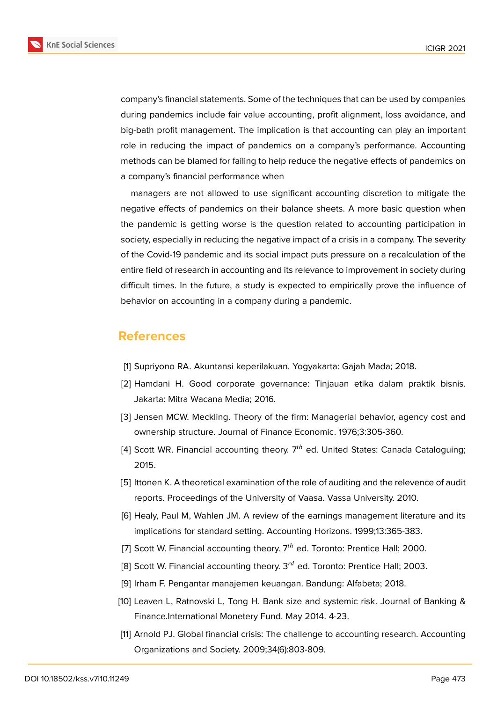

company's financial statements. Some of the techniques that can be used by companies during pandemics include fair value accounting, profit alignment, loss avoidance, and big-bath profit management. The implication is that accounting can play an important role in reducing the impact of pandemics on a company's performance. Accounting methods can be blamed for failing to help reduce the negative effects of pandemics on a company's financial performance when

managers are not allowed to use significant accounting discretion to mitigate the negative effects of pandemics on their balance sheets. A more basic question when the pandemic is getting worse is the question related to accounting participation in society, especially in reducing the negative impact of a crisis in a company. The severity of the Covid-19 pandemic and its social impact puts pressure on a recalculation of the entire field of research in accounting and its relevance to improvement in society during difficult times. In the future, a study is expected to empirically prove the influence of behavior on accounting in a company during a pandemic.

## **References**

- <span id="page-10-0"></span>[1] Supriyono RA. Akuntansi keperilakuan. Yogyakarta: Gajah Mada; 2018.
- <span id="page-10-1"></span>[2] Hamdani H. Good corporate governance: Tinjauan etika dalam praktik bisnis. Jakarta: Mitra Wacana Media; 2016.
- <span id="page-10-2"></span>[3] Jensen MCW. Meckling. Theory of the firm: Managerial behavior, agency cost and ownership structure. Journal of Finance Economic. 1976;3:305-360.
- [4] Scott WR. Financial accounting theory.  $7<sup>th</sup>$  ed. United States: Canada Cataloguing; 2015.
- [5] Ittonen K. A theoretical examination of the role of auditing and the relevence of audit reports. Proceedings of the University of Vaasa. Vassa University. 2010.
- [6] Healy, Paul M, Wahlen JM. A review of the earnings management literature and its implications for standard setting. Accounting Horizons. 1999;13:365-383.
- [7] Scott W. Financial accounting theory.  $7<sup>th</sup>$  ed. Toronto: Prentice Hall; 2000.
- [8] Scott W. Financial accounting theory.  $3^{rd}$  ed. Toronto: Prentice Hall; 2003.
- [9] Irham F. Pengantar manajemen keuangan. Bandung: Alfabeta; 2018.
- <span id="page-10-3"></span>[10] Leaven L, Ratnovski L, Tong H. Bank size and systemic risk. Journal of Banking & Finance.International Monetery Fund. May 2014. 4-23.
- [11] Arnold PJ. Global financial crisis: The challenge to accounting research. Accounting Organizations and Society. 2009;34(6):803-809.